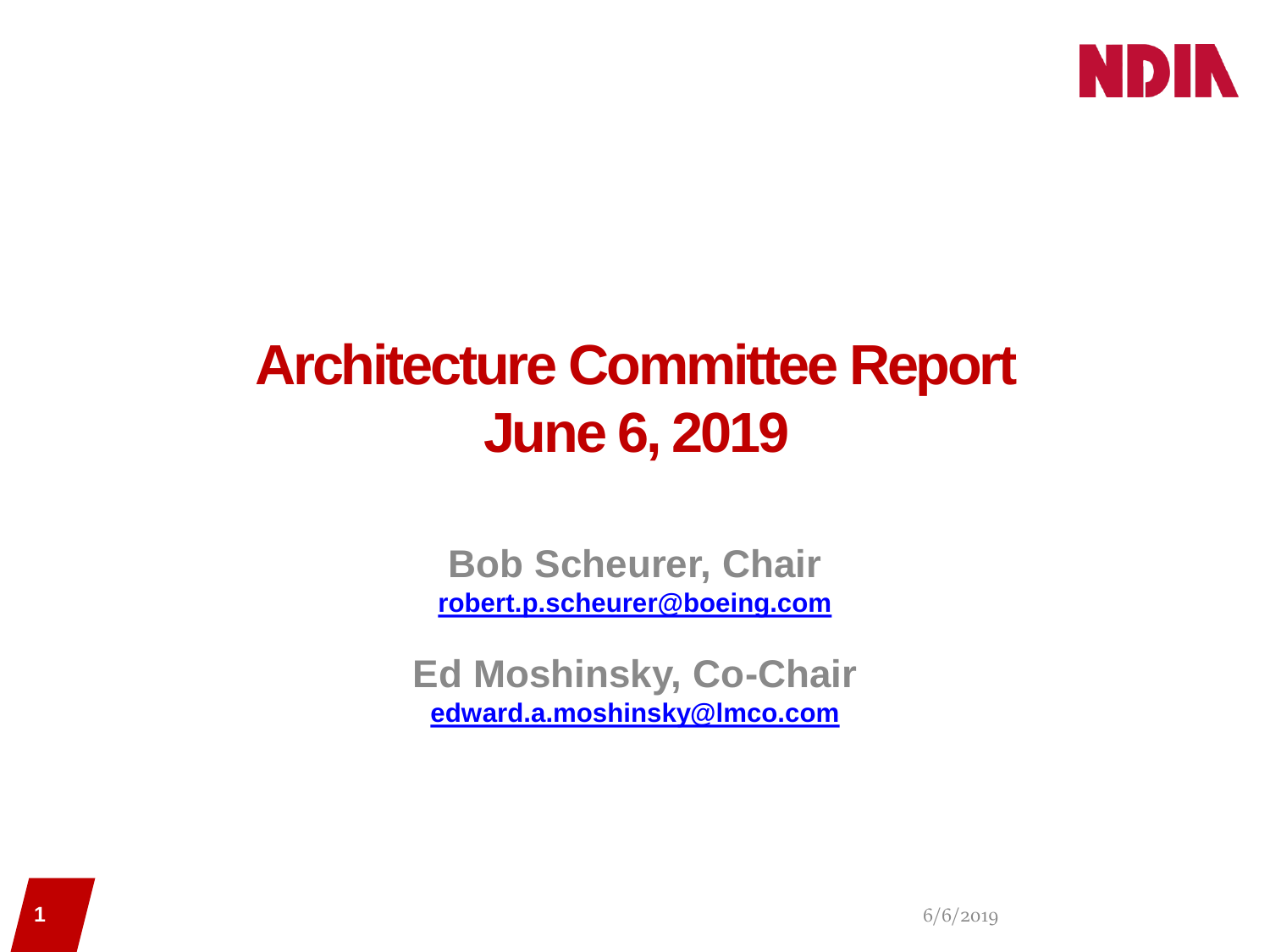

## **Architecture Committee Report June 6, 2019**

### **Bob Scheurer, Chair [robert.p.scheurer@boeing.com](mailto:robert.p.scheurer@boeing.com)**

#### **Ed Moshinsky, Co-Chair [edward.a.moshinsky@lmco.com](mailto:edward.a.moshinsky@lmco.com)**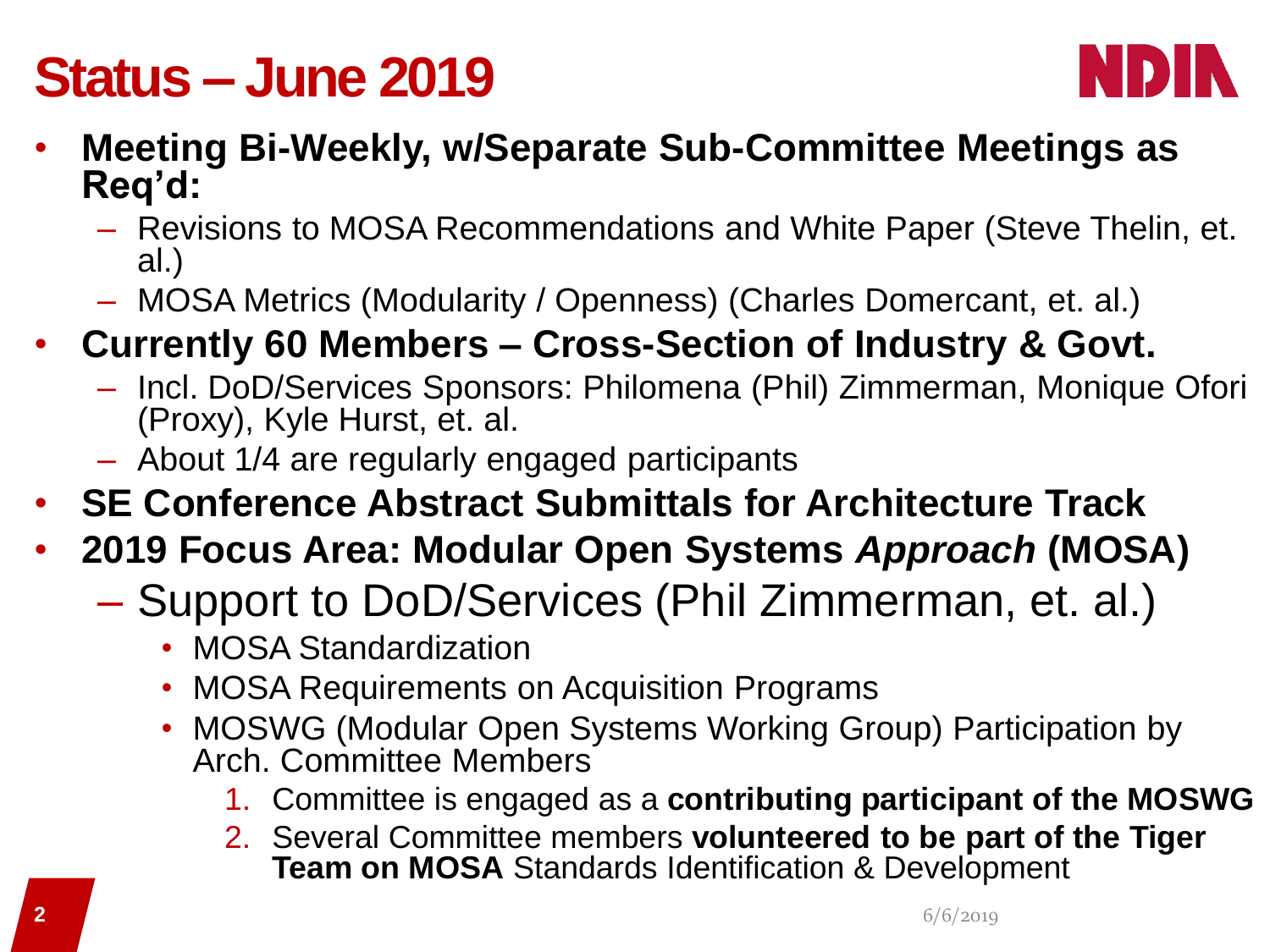## **Status – June 2019**



- **Meeting Bi-Weekly, w/Separate Sub-Committee Meetings as Req'd:**
	- Revisions to MOSA Recommendations and White Paper (Steve Thelin, et. al.)
	- MOSA Metrics (Modularity / Openness) (Charles Domercant, et. al.)
- **Currently 60 Members – Cross-Section of Industry & Govt.**
	- Incl. DoD/Services Sponsors: Philomena (Phil) Zimmerman, Monique Ofori (Proxy), Kyle Hurst, et. al.
	- About 1/4 are regularly engaged participants
- **SE Conference Abstract Submittals for Architecture Track**
- **2019 Focus Area: Modular Open Systems** *Approach* **(MOSA)**
	- Support to DoD/Services (Phil Zimmerman, et. al.)
		- MOSA Standardization
		- MOSA Requirements on Acquisition Programs
		- MOSWG (Modular Open Systems Working Group) Participation by Arch. Committee Members
			- 1. Committee is engaged as a **contributing participant of the MOSWG**
			- 2. Several Committee members **volunteered to be part of the Tiger Team on MOSA** Standards Identification & Development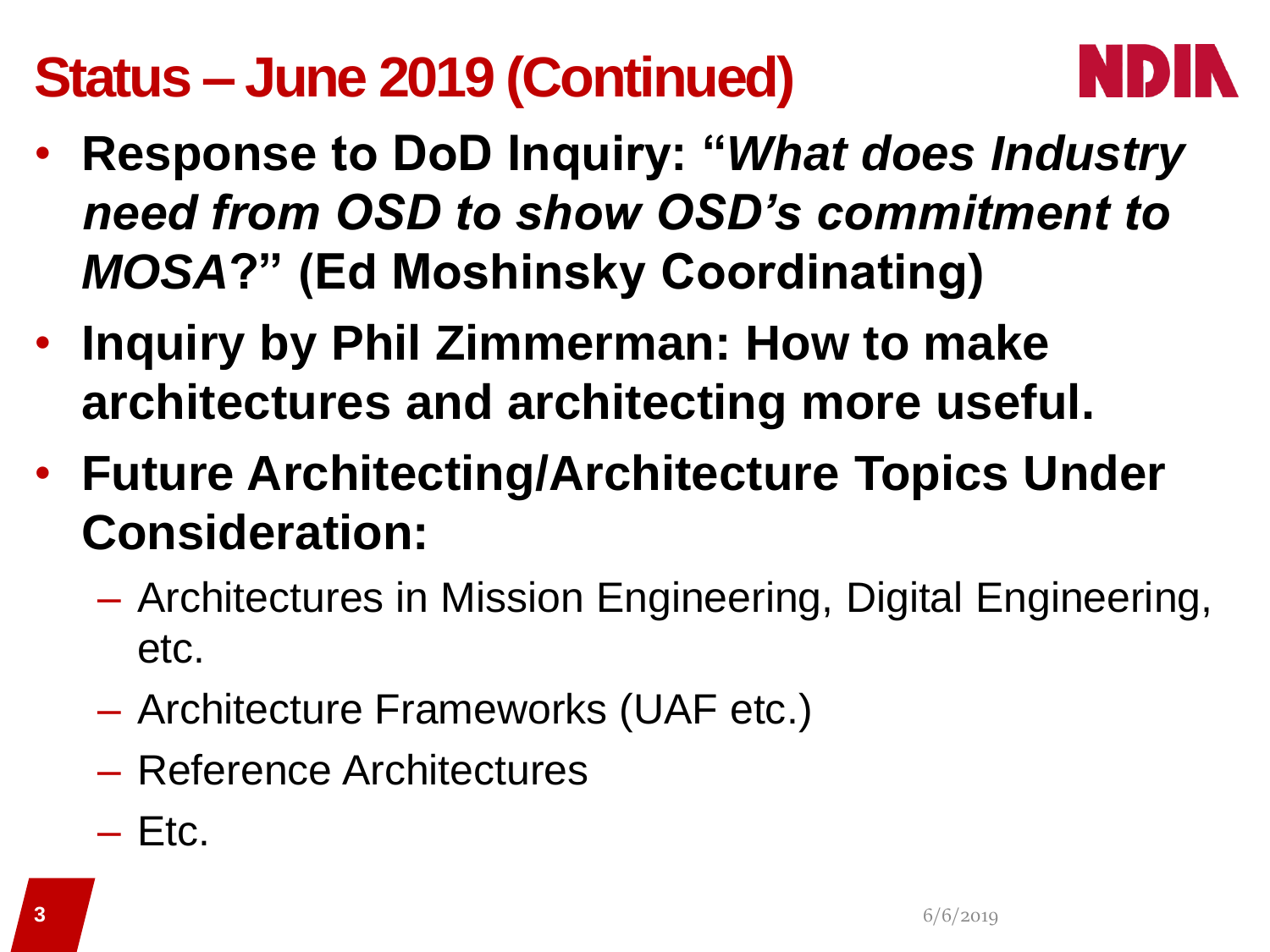# **Status – June 2019 (Continued)**



- **Response to DoD Inquiry: "***What does Industry need from OSD to show OSD's commitment to MOSA***?" (Ed Moshinsky Coordinating)**
- **Inquiry by Phil Zimmerman: How to make architectures and architecting more useful.**
- **Future Architecting/Architecture Topics Under Consideration:**
	- Architectures in Mission Engineering, Digital Engineering, etc.
	- Architecture Frameworks (UAF etc.)
	- Reference Architectures
	- $-$  Etc.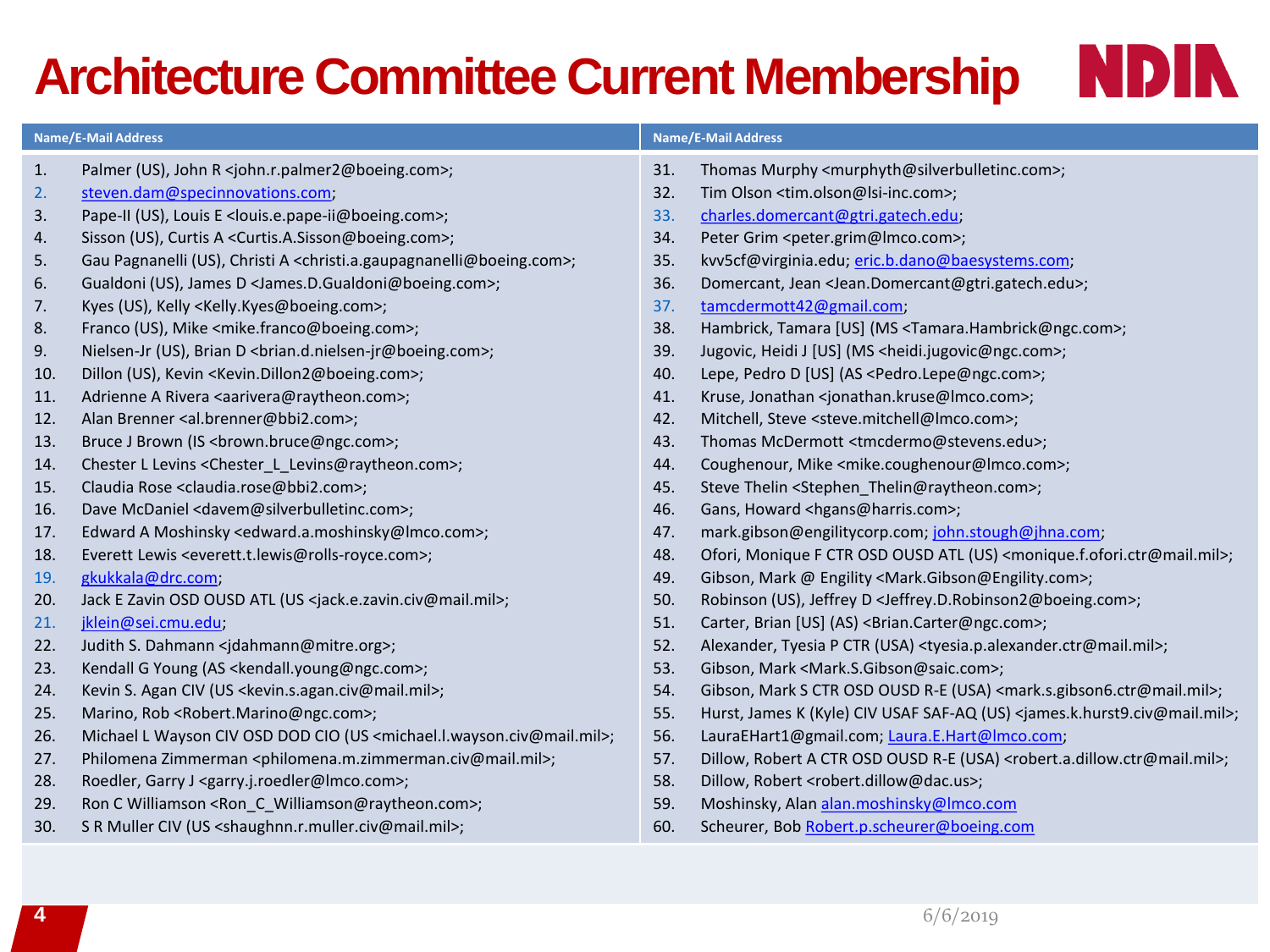# **Architecture Committee Current Membership**

| <b>Name/E-Mail Address</b> |                                                                                                           | <b>Name/E-Mail Address</b> |                                                                                                         |
|----------------------------|-----------------------------------------------------------------------------------------------------------|----------------------------|---------------------------------------------------------------------------------------------------------|
| 1.                         | Palmer (US), John R <john.r.palmer2@boeing.com>;</john.r.palmer2@boeing.com>                              | 31.                        | Thomas Murphy <murphyth@silverbulletinc.com>;</murphyth@silverbulletinc.com>                            |
| 2.                         | steven.dam@specinnovations.com;                                                                           | 32.                        | Tim Olson <tim.olson@lsi-inc.com>;</tim.olson@lsi-inc.com>                                              |
| 3.                         | Pape-II (US), Louis E < louis.e.pape-ii@boeing.com>;                                                      | 33.                        | charles.domercant@gtri.gatech.edu;                                                                      |
| 4.                         | Sisson (US), Curtis A <curtis.a.sisson@boeing.com>;</curtis.a.sisson@boeing.com>                          | 34.                        | Peter Grim <peter.grim@lmco.com>;</peter.grim@lmco.com>                                                 |
| 5.                         | Gau Pagnanelli (US), Christi A <christi.a.gaupagnanelli@boeing.com>;</christi.a.gaupagnanelli@boeing.com> | 35.                        | kvv5cf@virginia.edu; eric.b.dano@baesystems.com;                                                        |
| 6.                         | Gualdoni (US), James D < James.D.Gualdoni@boeing.com>;                                                    | 36.                        | Domercant, Jean <jean.domercant@gtri.gatech.edu>;</jean.domercant@gtri.gatech.edu>                      |
|                            |                                                                                                           | 37.                        | tamcdermott42@gmail.com;                                                                                |
| 7.                         | Kyes (US), Kelly <kelly.kyes@boeing.com>;</kelly.kyes@boeing.com>                                         |                            |                                                                                                         |
| 8.                         | Franco (US), Mike <mike.franco@boeing.com>;</mike.franco@boeing.com>                                      | 38.                        | Hambrick, Tamara [US] (MS <tamara.hambrick@ngc.com>;</tamara.hambrick@ngc.com>                          |
| 9.                         | Nielsen-Jr (US), Brian D<br><br><br><br><br>Shielsen-jr@boeing.com>;                                      | 39.                        | Jugovic, Heidi J [US] (MS <heidi.jugovic@ngc.com>;</heidi.jugovic@ngc.com>                              |
| 10.                        | Dillon (US), Kevin <kevin.dillon2@boeing.com>;</kevin.dillon2@boeing.com>                                 | 40.                        | Lepe, Pedro D [US] (AS <pedro.lepe@ngc.com>;</pedro.lepe@ngc.com>                                       |
| 11.                        | Adrienne A Rivera <aarivera@raytheon.com>;</aarivera@raytheon.com>                                        | 41.                        | Kruse, Jonathan <jonathan.kruse@imco.com>;</jonathan.kruse@imco.com>                                    |
| 12.                        | Alan Brenner <al.brenner@bbi2.com>;</al.brenner@bbi2.com>                                                 | 42.                        | Mitchell, Steve <steve.mitchell@imco.com>;</steve.mitchell@imco.com>                                    |
| 13.                        | Bruce J Brown (IS<br><br>brown.bruce@ngc.com>;                                                            | 43.                        | Thomas McDermott <tmcdermo@stevens.edu>;</tmcdermo@stevens.edu>                                         |
| 14.                        | Chester L Levins <chester l="" levins@raytheon.com="">;</chester>                                         | 44.                        | Coughenour, Mike <mike.coughenour@lmco.com>;</mike.coughenour@lmco.com>                                 |
| 15.                        | Claudia Rose <claudia.rose@bbi2.com>;</claudia.rose@bbi2.com>                                             | 45.                        | Steve Thelin <stephen_thelin@raytheon.com>;</stephen_thelin@raytheon.com>                               |
| 16.                        | Dave McDaniel <davem@silverbulletinc.com>;</davem@silverbulletinc.com>                                    | 46.                        | Gans, Howard <hgans@harris.com>;</hgans@harris.com>                                                     |
| 17.                        | Edward A Moshinsky <edward.a.moshinsky@lmco.com>;</edward.a.moshinsky@lmco.com>                           | 47.                        | mark.gibson@engilitycorp.com; john.stough@jhna.com;                                                     |
| 18.                        | Everett Lewis <everett.t.lewis@rolls-royce.com>;</everett.t.lewis@rolls-royce.com>                        | 48.                        | Ofori, Monique F CTR OSD OUSD ATL (US) <monique.f.ofori.ctr@mail.mil>;</monique.f.ofori.ctr@mail.mil>   |
| 19.                        | gkukkala@drc.com;                                                                                         | 49.                        | Gibson, Mark @ Engility <mark.gibson@engility.com>;</mark.gibson@engility.com>                          |
| 20.                        | Jack E Zavin OSD OUSD ATL (US <jack.e.zavin.civ@mail.mil>;</jack.e.zavin.civ@mail.mil>                    | 50.                        | Robinson (US), Jeffrey D <jeffrey.d.robinson2@boeing.com>;</jeffrey.d.robinson2@boeing.com>             |
| 21.                        | jklein@sei.cmu.edu;                                                                                       | 51.                        | Carter, Brian [US] (AS) < Brian.Carter@ngc.com>;                                                        |
| 22.                        | Judith S. Dahmann <jdahmann@mitre.org>;</jdahmann@mitre.org>                                              | 52.                        | Alexander, Tyesia P CTR (USA) <tyesia.p.alexander.ctr@mail.mil>;</tyesia.p.alexander.ctr@mail.mil>      |
| 23.                        | Kendall G Young (AS <kendall.young@ngc.com>;</kendall.young@ngc.com>                                      | 53.                        | Gibson, Mark <mark.s.gibson@saic.com>;</mark.s.gibson@saic.com>                                         |
| 24.                        | Kevin S. Agan CIV (US < kevin.s.agan.civ@mail.mil>;                                                       | 54.                        | Gibson, Mark S CTR OSD OUSD R-E (USA) <mark.s.gibson6.ctr@mail.mil>;</mark.s.gibson6.ctr@mail.mil>      |
| 25.                        | Marino, Rob <robert.marino@ngc.com>;</robert.marino@ngc.com>                                              | 55.                        | Hurst, James K (Kyle) CIV USAF SAF-AQ (US) <james.k.hurst9.civ@mail.mil>;</james.k.hurst9.civ@mail.mil> |
| 26.                        | Michael L Wayson CIV OSD DOD CIO (US <michael.l.wayson.civ@mail.mil>;</michael.l.wayson.civ@mail.mil>     | 56.                        | LauraEHart1@gmail.com; Laura.E.Hart@Imco.com;                                                           |
| 27.                        | Philomena Zimmerman <philomena.m.zimmerman.civ@mail.mil>;</philomena.m.zimmerman.civ@mail.mil>            | 57.                        | Dillow, Robert A CTR OSD OUSD R-E (USA) <robert.a.dillow.ctr@mail.mil>;</robert.a.dillow.ctr@mail.mil>  |
| 28.                        | Roedler, Garry J <garry.j.roedler@imco.com>;</garry.j.roedler@imco.com>                                   | 58.                        | Dillow, Robert <robert.dillow@dac.us>;</robert.dillow@dac.us>                                           |
| 29.                        | Ron C Williamson <ron c="" williamson@raytheon.com="">;</ron>                                             | 59.                        | Moshinsky, Alan alan.moshinsky@lmco.com                                                                 |
| 30.                        | S R Muller CIV (US < shaughnn.r.muller.civ@mail.mil>;                                                     | 60.                        | Scheurer, Bob Robert.p.scheurer@boeing.com                                                              |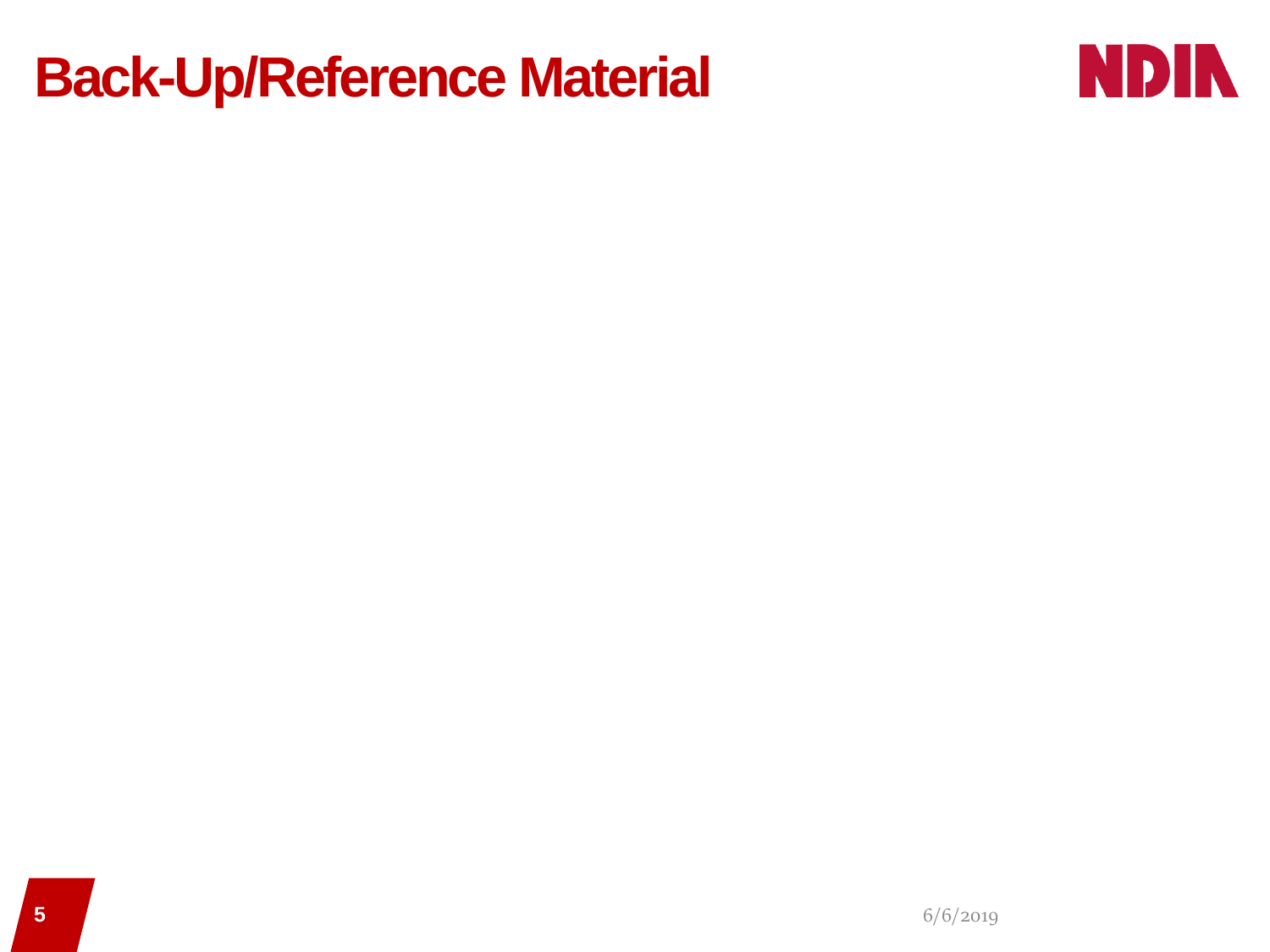### **Back-Up/Reference Material**

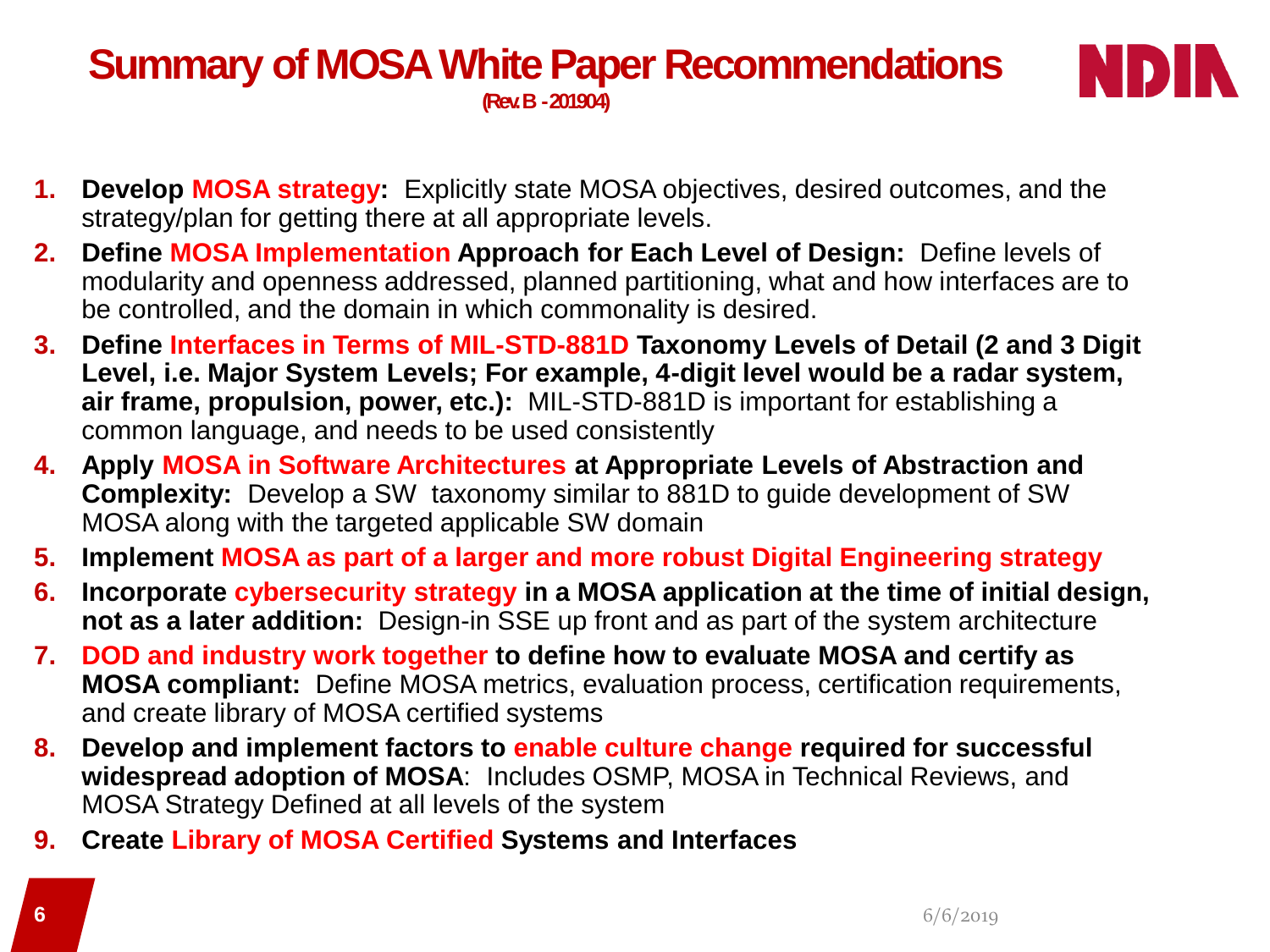#### **Summary of MOSA White Paper Recommendations (Rev. B -201904)**



- **1. Develop MOSA strategy:** Explicitly state MOSA objectives, desired outcomes, and the strategy/plan for getting there at all appropriate levels.
- **2. Define MOSA Implementation Approach for Each Level of Design:** Define levels of modularity and openness addressed, planned partitioning, what and how interfaces are to be controlled, and the domain in which commonality is desired.
- **3. Define Interfaces in Terms of MIL-STD-881D Taxonomy Levels of Detail (2 and 3 Digit Level, i.e. Major System Levels; For example, 4-digit level would be a radar system, air frame, propulsion, power, etc.):** MIL-STD-881D is important for establishing a common language, and needs to be used consistently
- **4. Apply MOSA in Software Architectures at Appropriate Levels of Abstraction and Complexity:** Develop a SW taxonomy similar to 881D to guide development of SW MOSA along with the targeted applicable SW domain
- **5. Implement MOSA as part of a larger and more robust Digital Engineering strategy**
- **6. Incorporate cybersecurity strategy in a MOSA application at the time of initial design, not as a later addition:** Design-in SSE up front and as part of the system architecture
- **7. DOD and industry work together to define how to evaluate MOSA and certify as MOSA compliant:** Define MOSA metrics, evaluation process, certification requirements, and create library of MOSA certified systems
- **8. Develop and implement factors to enable culture change required for successful widespread adoption of MOSA**: Includes OSMP, MOSA in Technical Reviews, and MOSA Strategy Defined at all levels of the system
- **9. Create Library of MOSA Certified Systems and Interfaces**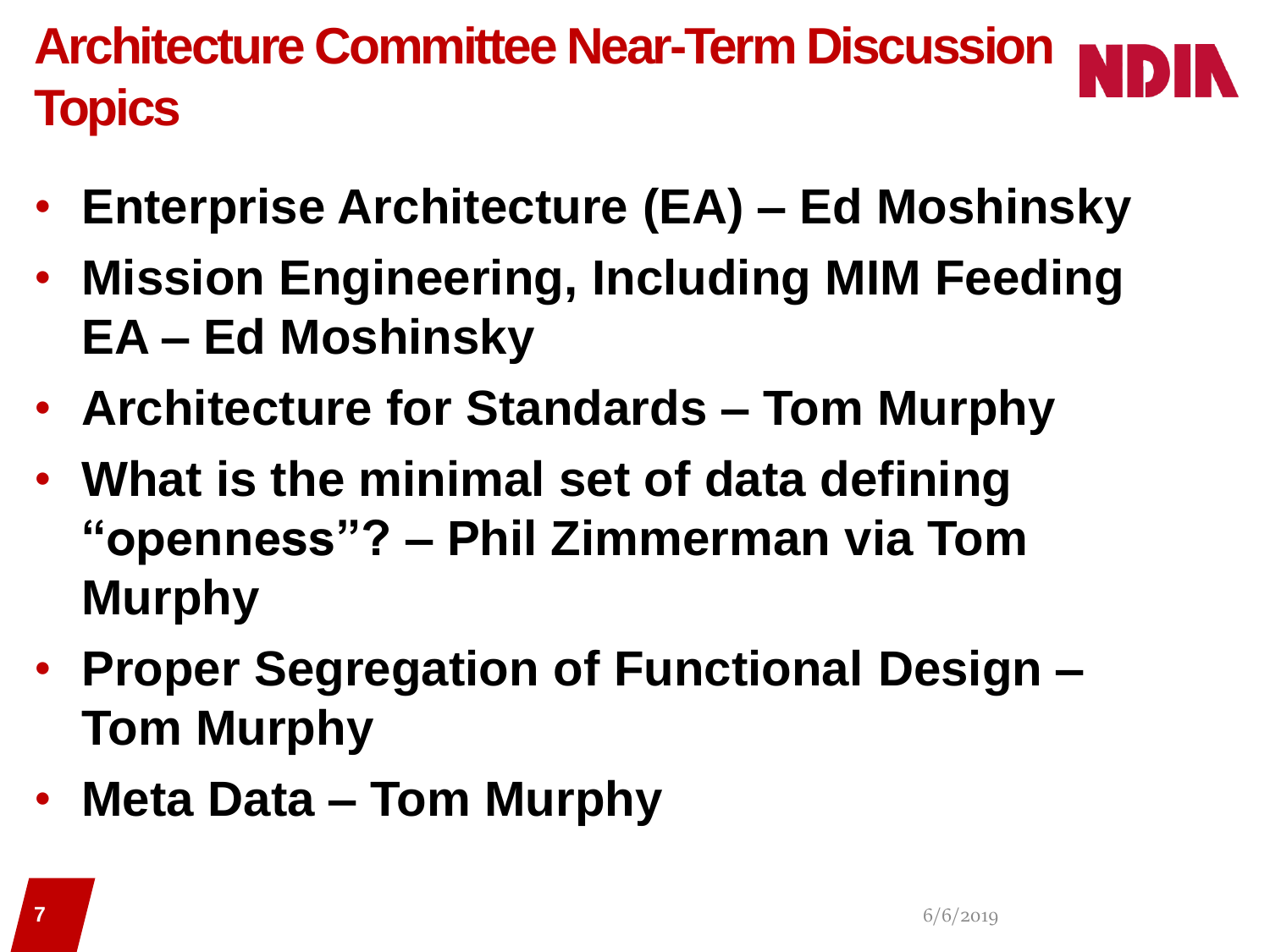**Architecture Committee Near-Term Discussion Topics**

- **Enterprise Architecture (EA) – Ed Moshinsky**
- **Mission Engineering, Including MIM Feeding EA – Ed Moshinsky**
- **Architecture for Standards – Tom Murphy**
- **What is the minimal set of data defining "openness"? – Phil Zimmerman via Tom Murphy**
- **Proper Segregation of Functional Design – Tom Murphy**
- **Meta Data – Tom Murphy**